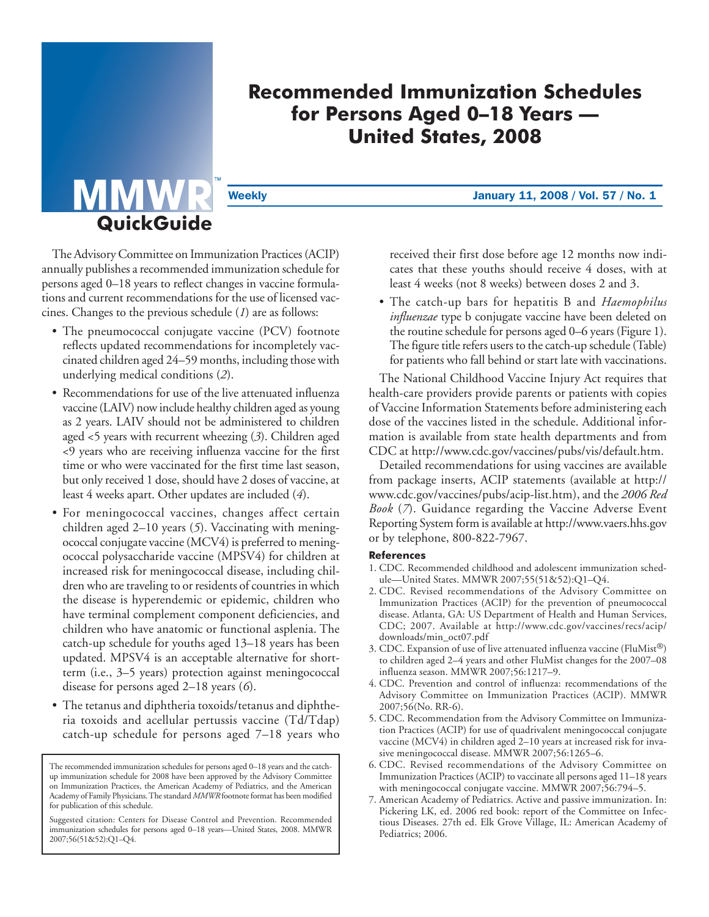# **Recommended Immunization Schedules for Persons Aged 0–18 Years — United States, 2008**

Weekly **Weekly January 11, 2008 / Vol. 57 / No. 1** 

The Advisory Committee on Immunization Practices (ACIP) annually publishes a recommended immunization schedule for persons aged 0–18 years to reflect changes in vaccine formulations and current recommendations for the use of licensed vaccines. Changes to the previous schedule (*1*) are as follows:

**QuickGuide**

- The pneumococcal conjugate vaccine (PCV) footnote reflects updated recommendations for incompletely vaccinated children aged 24–59 months, including those with underlying medical conditions (*2*).
- Recommendations for use of the live attenuated influenza vaccine (LAIV) now include healthy children aged as young as 2 years. LAIV should not be administered to children aged <5 years with recurrent wheezing (*3*). Children aged <9 years who are receiving influenza vaccine for the first time or who were vaccinated for the first time last season, but only received 1 dose, should have 2 doses of vaccine, at least 4 weeks apart. Other updates are included (*4*).
- For meningococcal vaccines, changes affect certain children aged 2–10 years (*5*). Vaccinating with meningococcal conjugate vaccine (MCV4) is preferred to meningococcal polysaccharide vaccine (MPSV4) for children at increased risk for meningococcal disease, including children who are traveling to or residents of countries in which the disease is hyperendemic or epidemic, children who have terminal complement component deficiencies, and children who have anatomic or functional asplenia. The catch-up schedule for youths aged 13–18 years has been updated. MPSV4 is an acceptable alternative for shortterm (i.e., 3–5 years) protection against meningococcal disease for persons aged 2–18 years (*6*).
- The tetanus and diphtheria toxoids/tetanus and diphtheria toxoids and acellular pertussis vaccine (Td/Tdap) catch-up schedule for persons aged 7–18 years who

received their first dose before age 12 months now indicates that these youths should receive 4 doses, with at least 4 weeks (not 8 weeks) between doses 2 and 3.

• The catch-up bars for hepatitis B and *Haemophilus influenzae* type b conjugate vaccine have been deleted on the routine schedule for persons aged 0–6 years (Figure 1). The figure title refers users to the catch-up schedule (Table) for patients who fall behind or start late with vaccinations.

The National Childhood Vaccine Injury Act requires that health-care providers provide parents or patients with copies of Vaccine Information Statements before administering each dose of the vaccines listed in the schedule. Additional information is available from state health departments and from CDC at [http://www.cdc.gov/vaccines/pubs/vis/default.htm.](http://www.cdc.gov/vaccines/pubs/vis/default.htm) 

Detailed recommendations for using vaccines are available from package inserts, ACIP statements (available at http:// www.cdc.gov/vaccines/pubs/acip-list.htm), and the *2006 Red Book* (*7*). Guidance regarding the Vaccine Adverse Event Reporting System form is available a[t http://www.vaers.hhs.gov](http://www.vaers.hhs.gov)  or by telephone, 800-822-7967.

# **References**

- 1. CDC. Recommended childhood and adolescent immunization schedule—United States. MMWR 2007;55(51&52):Q1–Q4.
- 2. CDC. Revised recommendations of the Advisory Committee on Immunization Practices (ACIP) for the prevention of pneumococcal disease. Atlanta, GA: US Department of Health and Human Services, CDC; 2007. Available at [http://www.cdc.gov/vaccines/recs/acip/](http://www.cdc.gov/vaccines/recs/acip/downloads/min-oct07.pdf )  [downloads/min\\_oct07.pdf](http://www.cdc.gov/vaccines/recs/acip/downloads/min-oct07.pdf )
- 3. CDC. Expansion of use of live attenuated influenza vaccine (FluMist®) to children aged 2–4 years and other FluMist changes for the 2007–08 influenza season. MMWR 2007;56:1217–9.
- 4. CDC. Prevention and control of influenza: recommendations of the Advisory Committee on Immunization Practices (ACIP). MMWR 2007;56(No. RR-6).
- 5. CDC. Recommendation from the Advisory Committee on Immunization Practices (ACIP) for use of quadrivalent meningococcal conjugate vaccine (MCV4) in children aged 2–10 years at increased risk for invasive meningococcal disease. MMWR 2007;56:1265–6.
- 6. CDC. Revised recommendations of the Advisory Committee on Immunization Practices (ACIP) to vaccinate all persons aged 11–18 years with meningococcal conjugate vaccine. MMWR 2007;56:794–5.
- 7. American Academy of Pediatrics. Active and passive immunization. In: Pickering LK, ed. 2006 red book: report of the Committee on Infectious Diseases. 27th ed. Elk Grove Village, IL: American Academy of Pediatrics; 2006.

The recommended immunization schedules for persons aged 0–18 years and the catchup immunization schedule for 2008 have been approved by the Advisory Committee on Immunization Practices, the American Academy of Pediatrics, and the American Academy of Family Physicians. The standard *MMWR* footnote format has been modified for publication of this schedule.

Suggested citation: Centers for Disease Control and Prevention. Recommended immunization schedules for persons aged 0–18 years—United States, 2008. MMWR 2007;56(51&52):Q1–Q4.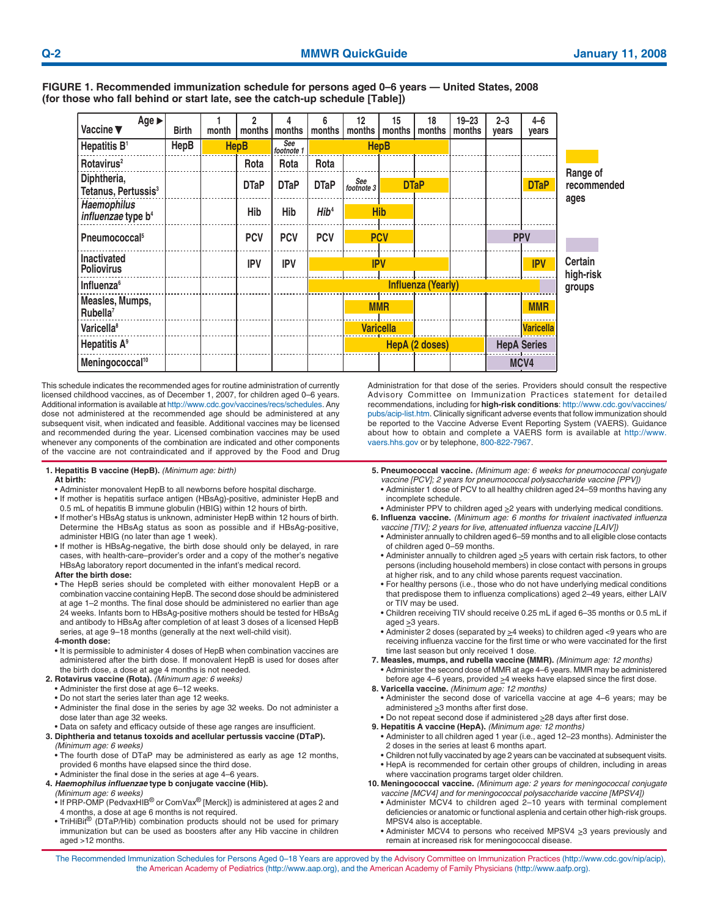| $Age \triangleright$<br>Vaccine ▼                    | <b>Birth</b> | month | 2<br>months | 4<br>months       | months                    | 12<br>months      | 15<br>months     | 18<br>months          | $19 - 23$<br>months | $2 - 3$<br>years | $4 - 6$<br>years   |                             |
|------------------------------------------------------|--------------|-------|-------------|-------------------|---------------------------|-------------------|------------------|-----------------------|---------------------|------------------|--------------------|-----------------------------|
| Hepatitis B <sup>1</sup>                             | <b>HepB</b>  |       | <b>HepB</b> | See<br>footnote 1 |                           |                   | <b>HepB</b>      |                       |                     |                  |                    |                             |
| Rotavirus <sup>2</sup>                               |              |       | Rota        | Rota              | Rota                      |                   |                  |                       |                     |                  |                    |                             |
| Diphtheria,<br>Tetanus, Pertussis <sup>3</sup>       |              |       | <b>DTaP</b> | <b>DTaP</b>       | <b>DTaP</b>               | See<br>footnote 3 |                  | <b>DTaP</b>           |                     |                  | <b>DTaP</b>        | Range of<br>recommended     |
| <b>Haemophilus</b><br>influenzae type b <sup>4</sup> |              |       | Hib         | Hib               | Hib <sup>4</sup>          |                   | <b>Hib</b>       |                       |                     |                  |                    | ages                        |
| Pneumococcal <sup>5</sup>                            |              |       | <b>PCV</b>  | <b>PCV</b>        | <b>PCV</b>                |                   | <b>PCV</b>       |                       |                     |                  | <b>PPV</b>         |                             |
| <b>Inactivated</b><br><b>Poliovirus</b>              |              |       | <b>IPV</b>  | <b>IPV</b>        |                           |                   | <b>IPV</b>       |                       |                     |                  | <b>IPV</b>         | <b>Certain</b><br>high-risk |
| Influenza <sup>6</sup>                               |              |       |             |                   | <b>Influenza (Yearly)</b> |                   |                  |                       | groups              |                  |                    |                             |
| Measles, Mumps,<br>Rubella <sup>7</sup>              |              |       |             |                   |                           |                   | <b>MMR</b>       |                       |                     |                  | <b>MMR</b>         |                             |
| Varicella <sup>8</sup>                               |              |       |             |                   |                           |                   | <b>Varicella</b> |                       |                     |                  | <b>Varicella</b>   |                             |
| Hepatitis A <sup>9</sup>                             |              |       |             |                   |                           |                   |                  | <b>HepA</b> (2 doses) |                     |                  | <b>HepA Series</b> |                             |
| Meningococcal <sup>10</sup>                          |              |       |             |                   |                           |                   |                  |                       |                     |                  | MCV4               |                             |

**FIGURE 1. Recommended immunization schedule for persons aged 0–6 years — United States, 2008 (for those who fall behind or start late, see the catch-up schedule [Table])** 

This schedule indicates the recommended ages for routine administration of currently licensed childhood vaccines, as of December 1, 2007, for children aged 0–6 years. Additional information is available a[t http://www.cdc.gov/vaccines/recs/schedules.](http://www.cdc.gov/vaccines/recs/schedules) Any dose not administered at the recommended age should be administered at any subsequent visit, when indicated and feasible. Additional vaccines may be licensed and recommended during the year. Licensed combination vaccines may be used whenever any components of the combination are indicated and other components of the vaccine are not contraindicated and if approved by the Food and Drug

#### **1. Hepatitis B vaccine (HepB).** *(Minimum age: birth)*  **At birth:**

- Administer monovalent HepB to all newborns before hospital discharge.
- If mother is hepatitis surface antigen (HBsAg)-positive, administer HepB and 0.5 mL of hepatitis B immune globulin (HBIG) within 12 hours of birth.
- If mother's HBsAg status is unknown, administer HepB within 12 hours of birth. Determine the HBsAg status as soon as possible and if HBsAg-positive, administer HBIG (no later than age 1 week).
- If mother is HBsAg-negative, the birth dose should only be delayed, in rare cases, with health-care–provider's order and a copy of the mother's negative HBsAg laboratory report documented in the infant's medical record.
- **After the birth dose:**
- The HepB series should be completed with either monovalent HepB or a combination vaccine containing HepB. The second dose should be administered at age 1–2 months. The final dose should be administered no earlier than age 24 weeks. Infants born to HBsAg-positive mothers should be tested for HBsAg and antibody to HBsAg after completion of at least 3 doses of a licensed HepB series, at age 9–18 months (generally at the next well-child visit). **4-month dose:**
- 
- It is permissible to administer 4 doses of HepB when combination vaccines are administered after the birth dose. If monovalent HepB is used for doses after the birth dose, a dose at age 4 months is not needed.
- **2. Rotavirus vaccine (Rota).** *(Minimum age: 6 weeks)* 
	- Administer the first dose at age 6–12 weeks.
	- Do not start the series later than age 12 weeks.
	- Administer the final dose in the series by age 32 weeks. Do not administer a dose later than age 32 weeks.
- Data on safety and efficacy outside of these age ranges are insufficient.

## **3. Diphtheria and tetanus toxoids and acellular pertussis vaccine (DTaP).**  *(Minimum age: 6 weeks)*

- The fourth dose of DTaP may be administered as early as age 12 months, provided 6 months have elapsed since the third dose.
- Administer the final dose in the series at age 4–6 years.
- **4.** *Haemophilus influenzae* **type b conjugate vaccine (Hib).**
- *(Minimum age: 6 weeks)*
- If PRP-OMP (PedvaxHIB<sup>®</sup> or ComVax<sup>®</sup> [Merck]) is administered at ages 2 and 4 months, a dose at age 6 months is not required.
- TriHiBit® (DTaP/Hib) combination products should not be used for primary immunization but can be used as boosters after any Hib vaccine in children aged >12 months.

Administration for that dose of the series. Providers should consult the respective Advisory Committee on Immunization Practices statement for detailed recommendations, including for **high-risk conditions**[: http://www.cdc.gov/vaccines/](http://www.cdc.gov/vaccines/pubs/acip-list.htm)  [pubs/acip-list.htm.](http://www.cdc.gov/vaccines/pubs/acip-list.htm) Clinically significant adverse events that follow immunization should be reported to the Vaccine Adverse Event Reporting System (VAERS). Guidance about how to obtain and complete a VAERS form is available a[t http://www.](http://www.vaers.hhs.gov)  [vaers.hhs.gov o](http://www.vaers.hhs.gov)r by telephone, 800-822-7967.

- **5. Pneumococcal vaccine.** *(Minimum age: 6 weeks for pneumococcal conjugate vaccine [PCV]; 2 years for pneumococcal polysaccharide vaccine [PPV])*
- Administer 1 dose of PCV to all healthy children aged 24–59 months having any incomplete schedule.
- $\bullet$  Administer PPV to children aged  $\geq$  years with underlying medical conditions.
- **6. Influenza vaccine.** *(Minimum age: 6 months for trivalent inactivated influenza vaccine [TIV]; 2 years for live, attenuated influenza vaccine [LAIV])* 
	- Administer annually to children aged 6–59 months and to all eligible close contacts of children aged 0–59 months.
	- $\bullet$  Administer annually to children aged  $\geq$ 5 years with certain risk factors, to other persons (including household members) in close contact with persons in groups at higher risk, and to any child whose parents request vaccination.
	- For healthy persons (i.e., those who do not have underlying medical conditions that predispose them to influenza complications) aged 2–49 years, either LAIV or TIV may be used.
	- Children receiving TIV should receive 0.25 mL if aged 6–35 months or 0.5 mL if aged  $\geq$ 3 years.
	- Administer 2 doses (separated by  $\geq$ 4 weeks) to children aged <9 years who are receiving influenza vaccine for the first time or who were vaccinated for the first time last season but only received 1 dose.
- **7. Measles, mumps, and rubella vaccine (MMR).** *(Minimum age: 12 months)*  • Administer the second dose of MMR at age 4–6 years. MMR may be administered before age 4–6 years, provided >4 weeks have elapsed since the first dose.
- **8. Varicella vaccine.** *(Minimum age: 12 months)* 
	- Administer the second dose of varicella vaccine at age 4–6 years; may be administered >3 months after first dose.
	- Do not repeat second dose if administered >28 days after first dose.
- **9. Hepatitis A vaccine (HepA).** *(Minimum age: 12 months)*
- Administer to all children aged 1 year (i.e., aged 12–23 months). Administer the 2 doses in the series at least 6 months apart.
- Children not fully vaccinated by age 2 years can be vaccinated at subsequent visits.
- HepA is recommended for certain other groups of children, including in areas where vaccination programs target older children.
- **10. Meningococcal vaccine.** *(Minimum age: 2 years for meningococcal conjugate vaccine [MCV4] and for meningococcal polysaccharide vaccine [MPSV4])* 
	- Administer MCV4 to children aged 2–10 years with terminal complement deficiencies or anatomic or functional asplenia and certain other high-risk groups. MPSV4 also is acceptable.
	- Administer MCV4 to persons who received MPSV4  $\geq$ 3 years previously and remain at increased risk for meningococcal disease.

The Recommended Immunization Schedules for Persons Aged 0-18 Years are approved by the Advisory Committee on Immunization Practices (http://www.cdc.gov/nip/acip), the American Academy of Pediatrics [\(http://www.aap.org\),](http://www.aap.org) and the American Academy of Family Physicians [\(http://www.aafp.org\).](http://www.aafp.org)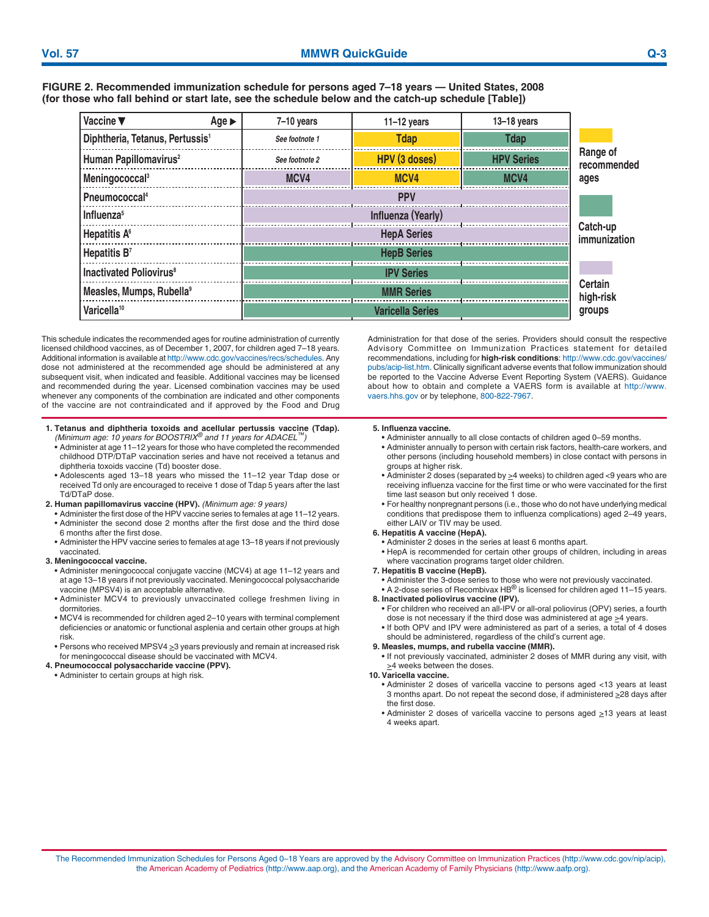**FIGURE 2. Recommended immunization schedule for persons aged 7–18 years — United States, 2008 (for those who fall behind or start late, see the schedule below and the catch-up schedule [Table])** 

| Vaccine ▼<br>Age $\blacktriangleright$      | $7-10$ years   | $11-12$ years            | $13 - 18$ years   |                         |
|---------------------------------------------|----------------|--------------------------|-------------------|-------------------------|
| Diphtheria, Tetanus, Pertussis <sup>1</sup> | See footnote 1 | <b>Tdap</b>              | <b>Tdap</b>       | Range of<br>recommended |
| Human Papillomavirus <sup>2</sup>           | See footnote 2 | HPV (3 doses)            | <b>HPV Series</b> |                         |
| Meningococcal <sup>3</sup>                  | MCV4           | MCV4                     | MCV4              | ages                    |
| Pneumococcal <sup>4</sup>                   |                | Catch-up<br>immunization |                   |                         |
| Influenza <sup>5</sup>                      |                |                          |                   |                         |
| Hepatitis A <sup>6</sup>                    |                |                          |                   |                         |
| Hepatitis B <sup>7</sup>                    |                |                          |                   |                         |
| <b>Inactivated Poliovirus<sup>8</sup></b>   |                | Certain<br>high-risk     |                   |                         |
| Measles, Mumps, Rubella <sup>9</sup>        |                |                          |                   |                         |
| Varicella <sup>10</sup>                     |                | <b>Varicella Series</b>  |                   | groups                  |

This schedule indicates the recommended ages for routine administration of currently licensed childhood vaccines, as of December 1, 2007, for children aged 7–18 years. Additional information is available [at http://www.cdc.gov/vaccines/recs/schedules.](http://www.cdc.gov/vaccines/recs/schedules) Any dose not administered at the recommended age should be administered at any subsequent visit, when indicated and feasible. Additional vaccines may be licensed and recommended during the year. Licensed combination vaccines may be used whenever any components of the combination are indicated and other components of the vaccine are not contraindicated and if approved by the Food and Drug

- **1. Tetanus and diphtheria toxoids and acellular pertussis vaccine (Tdap).**  *(Minimum age: 10 years for BOOSTRIX® and 11 years for ADACEL™)* 
	- Administer at age 11–12 years for those who have completed the recommended childhood DTP/DTaP vaccination series and have not received a tetanus and diphtheria toxoids vaccine (Td) booster dose.
	- Adolescents aged 13–18 years who missed the 11–12 year Tdap dose or received Td only are encouraged to receive 1 dose of Tdap 5 years after the last Td/DTaP dose.
- **2. Human papillomavirus vaccine (HPV).** *(Minimum age: 9 years)* 
	- Administer the first dose of the HPV vaccine series to females at age 11–12 years. • Administer the second dose 2 months after the first dose and the third dose
	- 6 months after the first dose.
	- Administer the HPV vaccine series to females at age 13–18 years if not previously vaccinated.

## **3. Meningococcal vaccine.**

- Administer meningococcal conjugate vaccine (MCV4) at age 11–12 years and at age 13–18 years if not previously vaccinated. Meningococcal polysaccharide vaccine (MPSV4) is an acceptable alternative.
- Administer MCV4 to previously unvaccinated college freshmen living in dormitories.
- MCV4 is recommended for children aged 2–10 years with terminal complement deficiencies or anatomic or functional asplenia and certain other groups at high risk.
- Persons who received MPSV4  $\geq$ 3 years previously and remain at increased risk for meningococcal disease should be vaccinated with MCV4.
- **4. Pneumococcal polysaccharide vaccine (PPV).**
- Administer to certain groups at high risk.

Administration for that dose of the series. Providers should consult the respective Advisory Committee on Immunization Practices statement for detailed recommendations, including for **high-risk conditions**: [http://www.cdc.gov/vaccines/](http://www.cdc.gov/vaccines/pubs/acip-list.htm)  [pubs/acip-list.htm.](http://www.cdc.gov/vaccines/pubs/acip-list.htm) Clinically significant adverse events that follow immunization should be reported to the Vaccine Adverse Event Reporting System (VAERS). Guidance about how to obtain and complete a VAERS form is available at [http://www.](http://www.vaers.hhs.gov)  [vaers.hhs.gov o](http://www.vaers.hhs.gov)r by telephone, 800-822-7967.

## **5. Influenza vaccine.**

- Administer annually to all close contacts of children aged 0–59 months.
- Administer annually to person with certain risk factors, health-care workers, and other persons (including household members) in close contact with persons in groups at higher risk.
- Administer 2 doses (separated by  $\geq$ 4 weeks) to children aged <9 years who are receiving influenza vaccine for the first time or who were vaccinated for the first time last season but only received 1 dose.
- For healthy nonpregnant persons (i.e., those who do not have underlying medical conditions that predispose them to influenza complications) aged 2–49 years, either LAIV or TIV may be used.

## **6. Hepatitis A vaccine (HepA).**

- Administer 2 doses in the series at least 6 months apart.
- HepA is recommended for certain other groups of children, including in areas where vaccination programs target older children.
- **7. Hepatitis B vaccine (HepB).**
- Administer the 3-dose series to those who were not previously vaccinated.
- A 2-dose series of Recombivax HB $^{\circledR}$  is licensed for children aged 11–15 years. **8. Inactivated poliovirus vaccine (IPV).** 
	- For children who received an all-IPV or all-oral poliovirus (OPV) series, a fourth
	- dose is not necessary if the third dose was administered at age >4 years. • If both OPV and IPV were administered as part of a series, a total of 4 doses
- should be administered, regardless of the child's current age. **9. Measles, mumps, and rubella vaccine (MMR).** 
	- If not previously vaccinated, administer 2 doses of MMR during any visit, with  $\geq$ 4 weeks between the doses.

## **10. Varicella vaccine.**

- Administer 2 doses of varicella vaccine to persons aged <13 years at least 3 months apart. Do not repeat the second dose, if administered >28 days after the first dose.
- $\bullet$  Administer 2 doses of varicella vaccine to persons aged  $\geq$ 13 years at least 4 weeks apart.